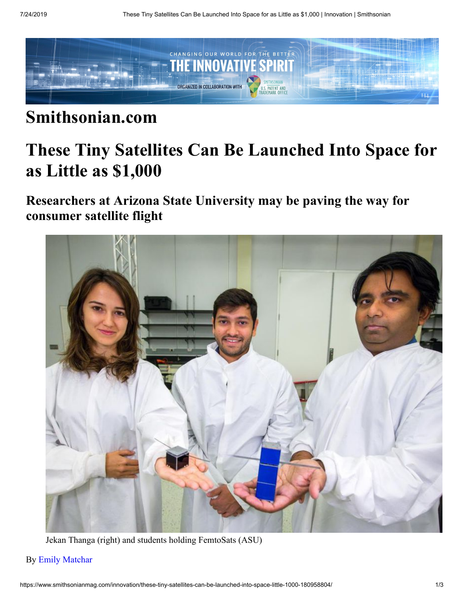

## **Smithsonian.com**

## **These Tiny Satellites Can Be Launched Into Space for as Little as \$1,000**

**Researchers at Arizona State University may be paving the way for consumer satellite flight**



Jekan Thanga (right) and students holding FemtoSats (ASU)

## By [Emily Matchar](https://www.smithsonianmag.com/author/emily-matchar/)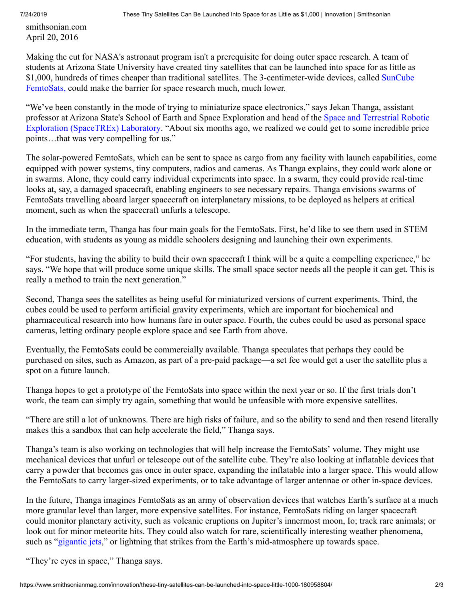smithsonian.com April 20, 2016

Making the cut for NASA's astronaut program isn't a prerequisite for doing outer space research. A team of students at Arizona State University have created tiny satellites that can be launched into space for as little as [\\$1,000, hundreds of times cheaper than traditional satellites. The 3-centimeter-wide devices, called SunCube](http://suncube.asu.edu/) FemtoSats, could make the barrier for space research much, much lower.

"We've been constantly in the mode of trying to miniaturize space electronics," says Jekan Thanga, assistant [professor at Arizona State's School of Earth and Space Exploration and head of the Space and Terrestrial Robotic](http://space.asu.edu/) Exploration (SpaceTREx) Laboratory. "About six months ago, we realized we could get to some incredible price points…that was very compelling for us."

The solar-powered FemtoSats, which can be sent to space as cargo from any facility with launch capabilities, come equipped with power systems, tiny computers, radios and cameras. As Thanga explains, they could work alone or in swarms. Alone, they could carry individual experiments into space. In a swarm, they could provide real-time looks at, say, a damaged spacecraft, enabling engineers to see necessary repairs. Thanga envisions swarms of FemtoSats travelling aboard larger spacecraft on interplanetary missions, to be deployed as helpers at critical moment, such as when the spacecraft unfurls a telescope.

In the immediate term, Thanga has four main goals for the FemtoSats. First, he'd like to see them used in STEM education, with students as young as middle schoolers designing and launching their own experiments.

"For students, having the ability to build their own spacecraft I think will be a quite a compelling experience," he says. "We hope that will produce some unique skills. The small space sector needs all the people it can get. This is really a method to train the next generation."

Second, Thanga sees the satellites as being useful for miniaturized versions of current experiments. Third, the cubes could be used to perform artificial gravity experiments, which are important for biochemical and pharmaceutical research into how humans fare in outer space. Fourth, the cubes could be used as personal space cameras, letting ordinary people explore space and see Earth from above.

Eventually, the FemtoSats could be commercially available. Thanga speculates that perhaps they could be purchased on sites, such as Amazon, as part of a pre-paid package—a set fee would get a user the satellite plus a spot on a future launch.

Thanga hopes to get a prototype of the FemtoSats into space within the next year or so. If the first trials don't work, the team can simply try again, something that would be unfeasible with more expensive satellites.

"There are still a lot of unknowns. There are high risks of failure, and so the ability to send and then resend literally makes this a sandbox that can help accelerate the field," Thanga says.

Thanga's team is also working on technologies that will help increase the FemtoSats' volume. They might use mechanical devices that unfurl or telescope out of the satellite cube. They're also looking at inflatable devices that carry a powder that becomes gas once in outer space, expanding the inflatable into a larger space. This would allow the FemtoSats to carry larger-sized experiments, or to take advantage of larger antennae or other in-space devices.

In the future, Thanga imagines FemtoSats as an army of observation devices that watches Earth's surface at a much more granular level than larger, more expensive satellites. For instance, FemtoSats riding on larger spacecraft could monitor planetary activity, such as volcanic eruptions on Jupiter's innermost moon, Io; track rare animals; or look out for minor meteorite hits. They could also watch for rare, scientifically interesting weather phenomena, such as "[gigantic jets](http://apod.nasa.gov/apod/ap070829.html)," or lightning that strikes from the Earth's mid-atmosphere up towards space.

"They're eyes in space," Thanga says.